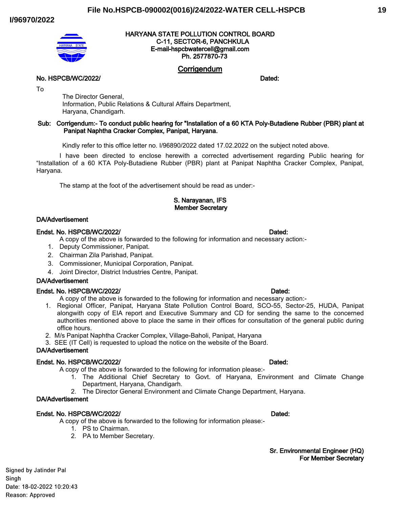## **File No.HSPCB-090002(0016)/24/2022-WATER CELL-HSPCB**

#### **I/96970/2022**



#### **HARYANA STATE POLLUTION CONTROL BOARD C-11, SECTOR-6, PANCHKULA E-mail-hspcbwatercell@gmail.com Ph. 2577870-73**

# **Corrigendum**

**No. HSPCB/WC/2022/ Dated: Dated: Dated: Dated: Dated: Dated: Dated: Dated:** 

To

The Director General, Information, Public Relations & Cultural Affairs Department, Haryana, Chandigarh.

#### **Sub: Corrigendum:- To conduct public hearing for "Installation of a 60 KTA Poly-Butadiene Rubber (PBR) plant at Panipat Naphtha Cracker Complex, Panipat, Haryana.**

Kindly refer to this office letter no. I/96890/2022 dated 17.02.2022 on the subject noted above.

I have been directed to enclose herewith a corrected advertisement regarding Public hearing for "Installation of a 60 KTA Poly-Butadiene Rubber (PBR) plant at Panipat Naphtha Cracker Complex, Panipat, Haryana.

The stamp at the foot of the advertisement should be read as under:-

## **S. Narayanan, IFS Member Secretary**

#### **DA/Advertisement**

#### **Endst. No. HSPCB/WC/2022/ Dated:**

- A copy of the above is forwarded to the following for information and necessary action:-
- 1. Deputy Commissioner, Panipat.
- 2. Chairman Zila Parishad, Panipat.
- 3. Commissioner, Municipal Corporation, Panipat.
- 4. Joint Director, District Industries Centre, Panipat.

#### **DA/Advertisement**

#### **Endst. No. HSPCB/WC/2022/ Dated:**

- A copy of the above is forwarded to the following for information and necessary action:-
- 1. Regional Officer, Panipat, Haryana State Pollution Control Board, SCO-55, Sector-25, HUDA, Panipat alongwith copy of EIA report and Executive Summary and CD for sending the same to the concerned authorities mentioned above to place the same in their offices for consultation of the general public during office hours.
- 2. M/s Panipat Naphtha Cracker Complex, Village-Baholi, Panipat, Haryana
- 3. SEE (IT Cell) is requested to upload the notice on the website of the Board.

## **DA/Advertisement**

#### **Endst. No. HSPCB/WC/2022/ Dated:**

- A copy of the above is forwarded to the following for information please:-
	- 1. The Additional Chief Secretary to Govt. of Haryana, Environment and Climate Change Department, Haryana, Chandigarh.
	- 2. The Director General Environment and Climate Change Department, Haryana.

## **DA/Advertisement**

#### **Endst. No. HSPCB/WC/2022/ Dated:**

A copy of the above is forwarded to the following for information please:-

- 1. PS to Chairman.
- 2. PA to Member Secretary.

#### **Sr. Environmental Engineer (HQ) For Member Secretary**

Signed by Jatinder Pal Singh Date: 18-02-2022 10:20:43 Reason: Approved